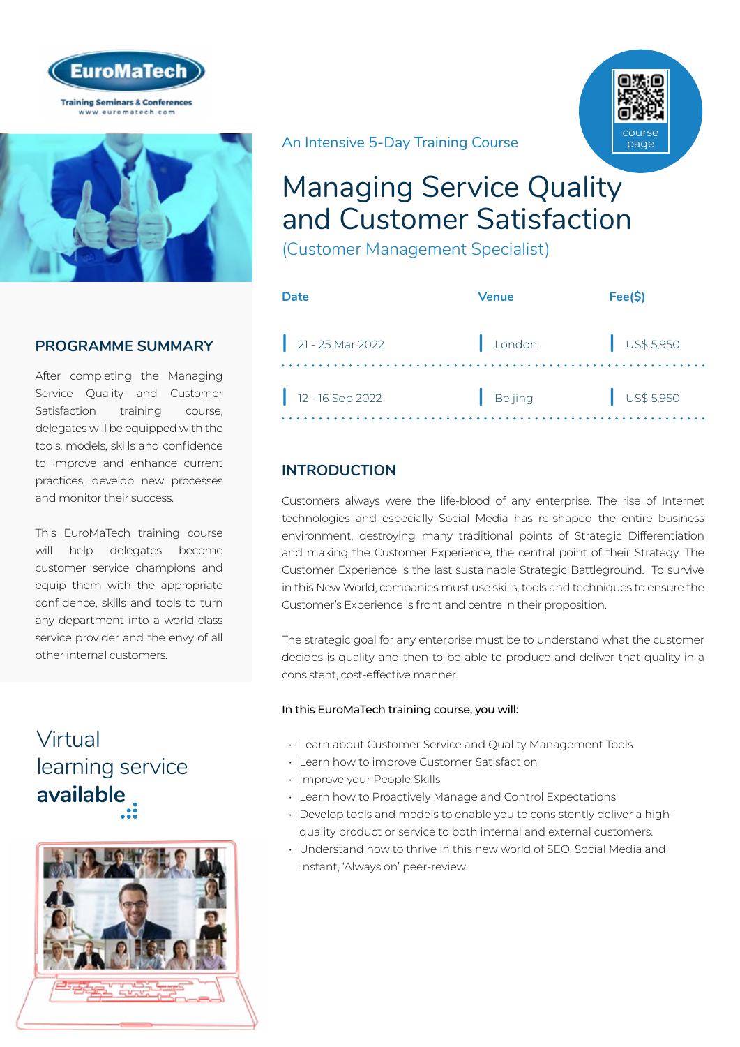



## **PROGRAMME SUMMARY**

After completing the Managing Service Quality and Customer Satisfaction training course, delegates will be equipped with the tools, models, skills and confidence to improve and enhance current practices, develop new processes and monitor their success.

This EuroMaTech training course will help delegates become customer service champions and equip them with the appropriate confidence, skills and tools to turn any department into a world-class service provider and the envy of all other internal customers.

# Virtual [learning service](https://www.euromatech.com/seminars/managing-service-quality-and-customer-satisfaction/)  **available**



An Intensive 5-Day Training Course



# Managing Service Quality and Customer Satisfaction

(Customer Management Specialist)

| Date                     | Venue          | Fee(S)               |
|--------------------------|----------------|----------------------|
| $\Big $ 21 - 25 Mar 2022 | London         | $\bigcup$ US\$ 5,950 |
| $12 - 16$ Sep 2022       | <b>Beijing</b> | $\bigcup$ US\$ 5,950 |

## **INTRODUCTION**

Customers always were the life-blood of any enterprise. The rise of Internet technologies and especially Social Media has re-shaped the entire business environment, destroying many traditional points of Strategic Differentiation and making the Customer Experience, the central point of their Strategy. The Customer Experience is the last sustainable Strategic Battleground. To survive in this New World, companies must use skills, tools and techniques to ensure the Customer's Experience is front and centre in their proposition.

The strategic goal for any enterprise must be to understand what the customer decides is quality and then to be able to produce and deliver that quality in a consistent, cost-effective manner.

#### In this EuroMaTech training course, you will:

- Learn about Customer Service and Quality Management Tools
- Learn how to improve Customer Satisfaction
- Improve your People Skills
- Learn how to Proactively Manage and Control Expectations
- Develop tools and models to enable you to consistently deliver a highquality product or service to both internal and external customers.
- Understand how to thrive in this new world of SEO, Social Media and Instant, 'Always on' peer-review.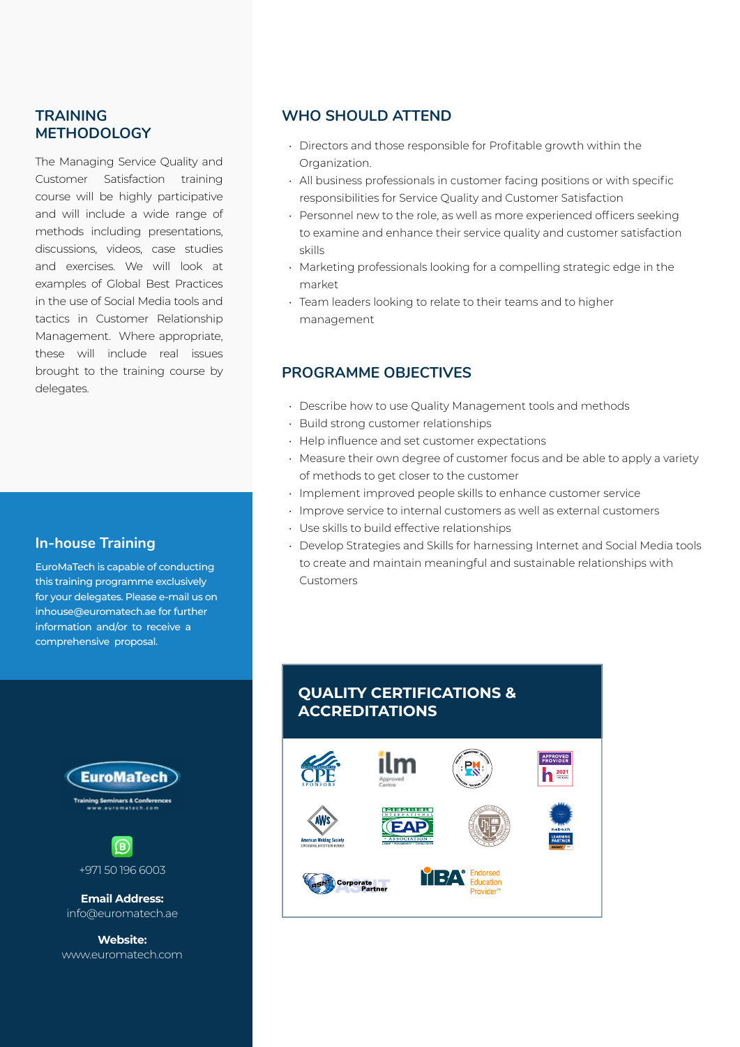## **TRAINING METHODOLOGY**

The Managing Service Quality and Customer Satisfaction training course will be highly participative and will include a wide range of methods including presentations, discussions, videos, case studies and exercises. We will look at examples of Global Best Practices in the use of Social Media tools and tactics in Customer Relationship Management. Where appropriate, these will include real issues brought to the training course by delegates.

#### **In-house Training**

EuroMaTech is capable of conducting this training programme exclusively for your delegates. Please e-mail us on inhouse@euromatech.ae for further information and/or to receive a comprehensive proposal.



 $\left( \mathbf{B}\right)$ +971 50 196 6003

**Email Address:** info@euromatech.ae

**Website:** www.euromatech.com

#### **WHO SHOULD ATTEND**

- Directors and those responsible for Profitable growth within the Organization.
- All business professionals in customer facing positions or with specific responsibilities for Service Quality and Customer Satisfaction
- Personnel new to the role, as well as more experienced officers seeking to examine and enhance their service quality and customer satisfaction skills
- Marketing professionals looking for a compelling strategic edge in the market
- Team leaders looking to relate to their teams and to higher management

## **PROGRAMME OBJECTIVES**

- Describe how to use Quality Management tools and methods
- Build strong customer relationships
- Help influence and set customer expectations
- Measure their own degree of customer focus and be able to apply a variety of methods to get closer to the customer
- Implement improved people skills to enhance customer service
- Improve service to internal customers as well as external customers
- Use skills to build effective relationships
- Develop Strategies and Skills for harnessing Internet and Social Media tools to create and maintain meaningful and sustainable relationships with Customers

## **QUALITY CERTIFICATIONS & ACCREDITATIONS**

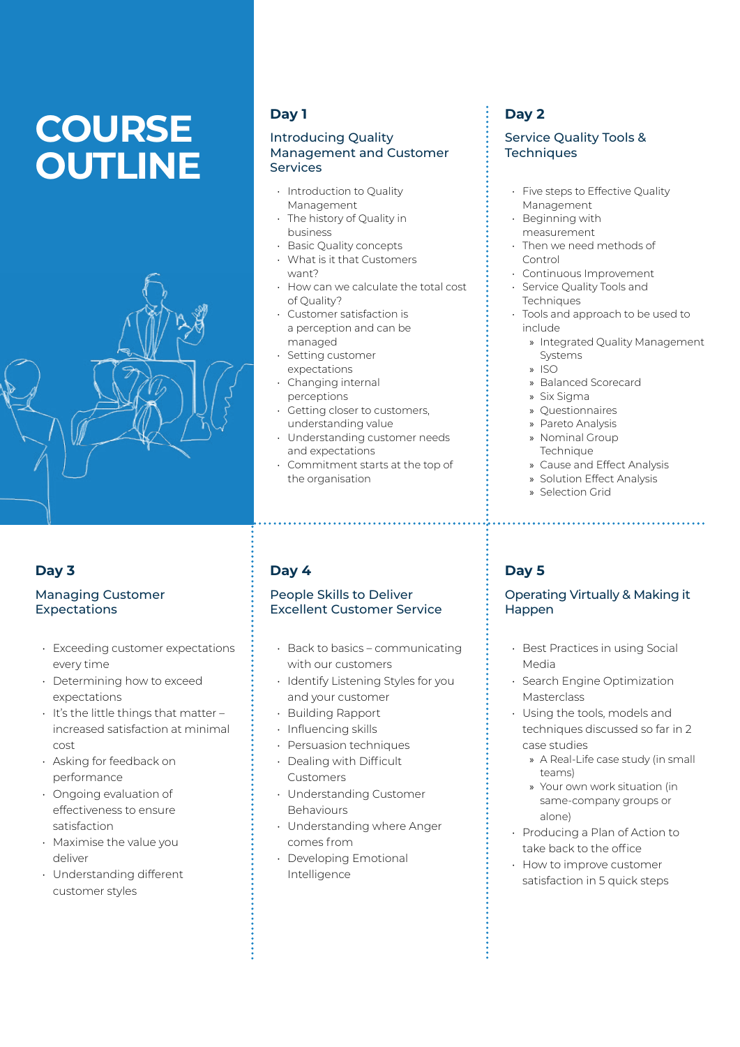# **COURSE OUTLINE**



## **Day 3**

#### Managing Customer Expectations

- Exceeding customer expectations every time
- Determining how to exceed expectations
- It's the little things that matter increased satisfaction at minimal cost
- Asking for feedback on performance
- Ongoing evaluation of effectiveness to ensure satisfaction
- Maximise the value you deliver
- Understanding different customer styles

## **Day 1**

#### Introducing Quality Management and Customer **Services**

- Introduction to Quality Management
- The history of Quality in business
- Basic Quality concepts
- What is it that Customers want?
- How can we calculate the total cost of Quality?
- Customer satisfaction is a perception and can be managed
- Setting customer expectations
- Changing internal perceptions
- Getting closer to customers, understanding value
- Understanding customer needs and expectations
- Commitment starts at the top of the organisation

## **Day 4**

#### People Skills to Deliver Excellent Customer Service

- Back to basics communicating with our customers
- Identify Listening Styles for you and your customer
- Building Rapport
- Influencing skills
- Persuasion techniques
- Dealing with Difficult Customers
- Understanding Customer Behaviours
- Understanding where Anger comes from
- Developing Emotional Intelligence

## **Day 2**

#### Service Quality Tools & **Techniques**

- Five steps to Effective Quality Management
- Beginning with measurement
- Then we need methods of Control
- Continuous Improvement
- Service Quality Tools and **Techniques**
- Tools and approach to be used to include
	- » Integrated Quality Management Systems
	- » ISO
	- » Balanced Scorecard
	- » Six Sigma
	- » Questionnaires
	- » Pareto Analysis
	- » Nominal Group **Technique**
	- » Cause and Effect Analysis

- » Solution Effect Analysis
- » Selection Grid

## **Day 5**

#### Operating Virtually & Making it **Happen**

- Best Practices in using Social Media
- Search Engine Optimization Masterclass
- Using the tools, models and techniques discussed so far in 2 case studies
	- » A Real-Life case study (in small teams)
	- » Your own work situation (in same-company groups or alone)
- Producing a Plan of Action to take back to the office
- How to improve customer satisfaction in 5 quick steps